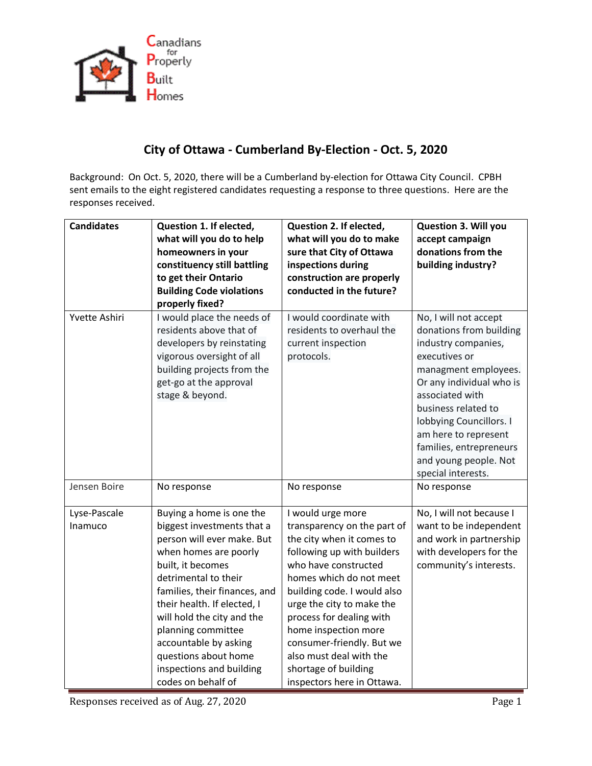

## **City of Ottawa - Cumberland By-Election - Oct. 5, 2020**

Background: On Oct. 5, 2020, there will be a Cumberland by-election for Ottawa City Council. CPBH sent emails to the eight registered candidates requesting a response to three questions. Here are the responses received.

| <b>Candidates</b>       | Question 1. If elected,<br>what will you do to help<br>homeowners in your<br>constituency still battling<br>to get their Ontario<br><b>Building Code violations</b><br>properly fixed?                                                                                                                                                                                            | Question 2. If elected,<br>what will you do to make<br>sure that City of Ottawa<br>inspections during<br>construction are properly<br>conducted in the future?                                                                                                                                                                                                                               | <b>Question 3. Will you</b><br>accept campaign<br>donations from the<br>building industry?                                                                                                                                                                                                                          |
|-------------------------|-----------------------------------------------------------------------------------------------------------------------------------------------------------------------------------------------------------------------------------------------------------------------------------------------------------------------------------------------------------------------------------|----------------------------------------------------------------------------------------------------------------------------------------------------------------------------------------------------------------------------------------------------------------------------------------------------------------------------------------------------------------------------------------------|---------------------------------------------------------------------------------------------------------------------------------------------------------------------------------------------------------------------------------------------------------------------------------------------------------------------|
| Yvette Ashiri           | I would place the needs of<br>residents above that of<br>developers by reinstating<br>vigorous oversight of all<br>building projects from the<br>get-go at the approval<br>stage & beyond.                                                                                                                                                                                        | I would coordinate with<br>residents to overhaul the<br>current inspection<br>protocols.                                                                                                                                                                                                                                                                                                     | No, I will not accept<br>donations from building<br>industry companies,<br>executives or<br>managment employees.<br>Or any individual who is<br>associated with<br>business related to<br>lobbying Councillors. I<br>am here to represent<br>families, entrepreneurs<br>and young people. Not<br>special interests. |
| Jensen Boire            | No response                                                                                                                                                                                                                                                                                                                                                                       | No response                                                                                                                                                                                                                                                                                                                                                                                  | No response                                                                                                                                                                                                                                                                                                         |
| Lyse-Pascale<br>Inamuco | Buying a home is one the<br>biggest investments that a<br>person will ever make. But<br>when homes are poorly<br>built, it becomes<br>detrimental to their<br>families, their finances, and<br>their health. If elected, I<br>will hold the city and the<br>planning committee<br>accountable by asking<br>questions about home<br>inspections and building<br>codes on behalf of | I would urge more<br>transparency on the part of<br>the city when it comes to<br>following up with builders<br>who have constructed<br>homes which do not meet<br>building code. I would also<br>urge the city to make the<br>process for dealing with<br>home inspection more<br>consumer-friendly. But we<br>also must deal with the<br>shortage of building<br>inspectors here in Ottawa. | No, I will not because I<br>want to be independent<br>and work in partnership<br>with developers for the<br>community's interests.                                                                                                                                                                                  |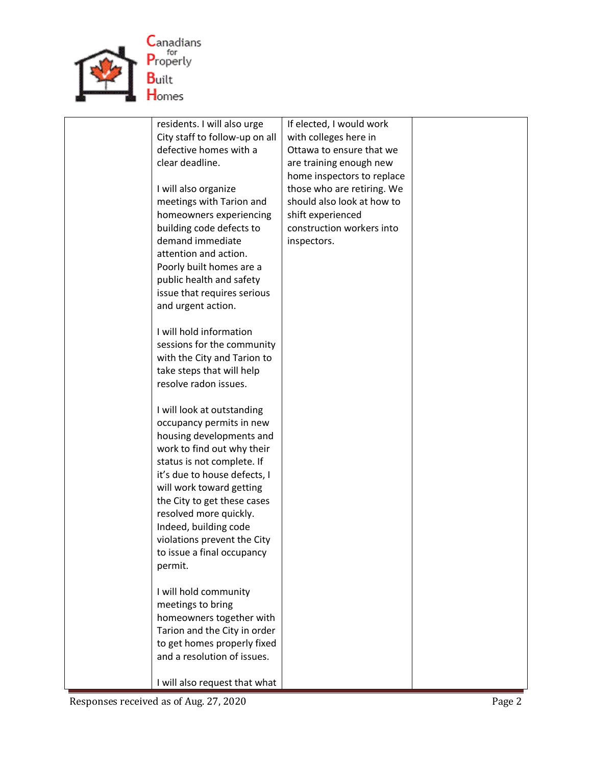

| residents. I will also urge                        | If elected, I would work   |  |
|----------------------------------------------------|----------------------------|--|
| City staff to follow-up on all                     | with colleges here in      |  |
| defective homes with a                             | Ottawa to ensure that we   |  |
| clear deadline.                                    | are training enough new    |  |
|                                                    | home inspectors to replace |  |
| I will also organize                               | those who are retiring. We |  |
| meetings with Tarion and                           | should also look at how to |  |
| homeowners experiencing                            | shift experienced          |  |
| building code defects to                           | construction workers into  |  |
| demand immediate                                   | inspectors.                |  |
| attention and action.                              |                            |  |
| Poorly built homes are a                           |                            |  |
| public health and safety                           |                            |  |
| issue that requires serious                        |                            |  |
| and urgent action.                                 |                            |  |
|                                                    |                            |  |
| I will hold information                            |                            |  |
| sessions for the community                         |                            |  |
| with the City and Tarion to                        |                            |  |
| take steps that will help<br>resolve radon issues. |                            |  |
|                                                    |                            |  |
| I will look at outstanding                         |                            |  |
| occupancy permits in new                           |                            |  |
| housing developments and                           |                            |  |
| work to find out why their                         |                            |  |
| status is not complete. If                         |                            |  |
| it's due to house defects, I                       |                            |  |
| will work toward getting                           |                            |  |
| the City to get these cases                        |                            |  |
| resolved more quickly.                             |                            |  |
| Indeed, building code                              |                            |  |
| violations prevent the City                        |                            |  |
| to issue a final occupancy                         |                            |  |
| permit.                                            |                            |  |
|                                                    |                            |  |
| I will hold community                              |                            |  |
| meetings to bring                                  |                            |  |
| homeowners together with                           |                            |  |
| Tarion and the City in order                       |                            |  |
| to get homes properly fixed                        |                            |  |
| and a resolution of issues.                        |                            |  |
|                                                    |                            |  |
| I will also request that what                      |                            |  |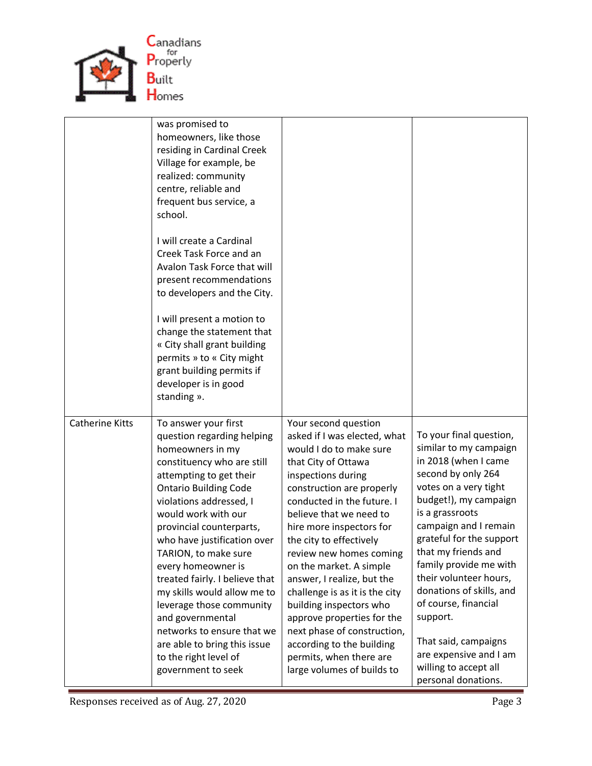

|                        | was promised to<br>homeowners, like those<br>residing in Cardinal Creek<br>Village for example, be<br>realized: community<br>centre, reliable and<br>frequent bus service, a<br>school.<br>I will create a Cardinal<br>Creek Task Force and an<br>Avalon Task Force that will<br>present recommendations<br>to developers and the City.<br>I will present a motion to<br>change the statement that<br>« City shall grant building<br>permits » to « City might<br>grant building permits if<br>developer is in good<br>standing ».                       |                                                                                                                                                                                                                                                                                                                                                                                                                                                                                                                                                                               |                                                                                                                                                                                                                                                                                                                                                                                                                                                                        |
|------------------------|----------------------------------------------------------------------------------------------------------------------------------------------------------------------------------------------------------------------------------------------------------------------------------------------------------------------------------------------------------------------------------------------------------------------------------------------------------------------------------------------------------------------------------------------------------|-------------------------------------------------------------------------------------------------------------------------------------------------------------------------------------------------------------------------------------------------------------------------------------------------------------------------------------------------------------------------------------------------------------------------------------------------------------------------------------------------------------------------------------------------------------------------------|------------------------------------------------------------------------------------------------------------------------------------------------------------------------------------------------------------------------------------------------------------------------------------------------------------------------------------------------------------------------------------------------------------------------------------------------------------------------|
| <b>Catherine Kitts</b> | To answer your first<br>question regarding helping<br>homeowners in my<br>constituency who are still<br>attempting to get their<br><b>Ontario Building Code</b><br>violations addressed, I<br>would work with our<br>provincial counterparts,<br>who have justification over<br>TARION, to make sure<br>every homeowner is<br>treated fairly. I believe that<br>my skills would allow me to<br>leverage those community<br>and governmental<br>networks to ensure that we<br>are able to bring this issue<br>to the right level of<br>government to seek | Your second question<br>asked if I was elected, what<br>would I do to make sure<br>that City of Ottawa<br>inspections during<br>construction are properly<br>conducted in the future. I<br>believe that we need to<br>hire more inspectors for<br>the city to effectively<br>review new homes coming<br>on the market. A simple<br>answer, I realize, but the<br>challenge is as it is the city<br>building inspectors who<br>approve properties for the<br>next phase of construction,<br>according to the building<br>permits, when there are<br>large volumes of builds to | To your final question,<br>similar to my campaign<br>in 2018 (when I came<br>second by only 264<br>votes on a very tight<br>budget!), my campaign<br>is a grassroots<br>campaign and I remain<br>grateful for the support<br>that my friends and<br>family provide me with<br>their volunteer hours,<br>donations of skills, and<br>of course, financial<br>support.<br>That said, campaigns<br>are expensive and I am<br>willing to accept all<br>personal donations. |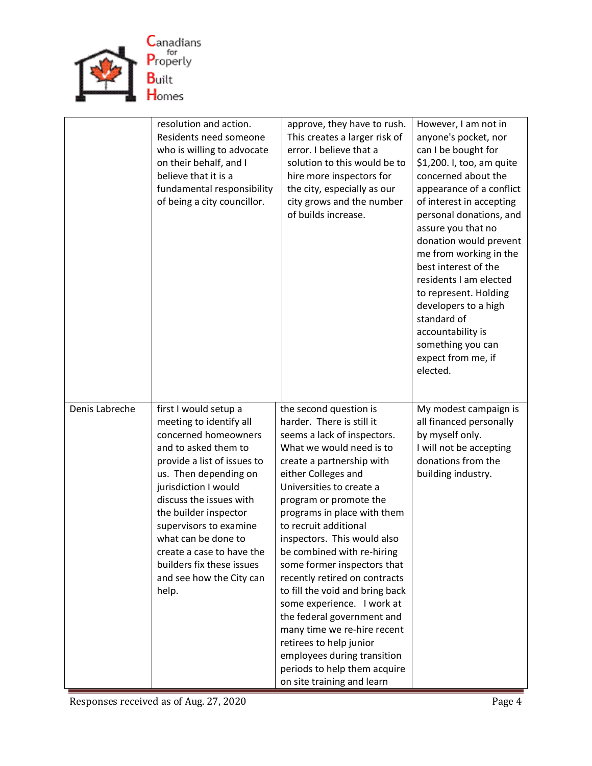

|                | resolution and action.<br>Residents need someone<br>who is willing to advocate<br>on their behalf, and I<br>believe that it is a<br>fundamental responsibility<br>of being a city councillor.                                                                                                                                                                                        | approve, they have to rush.<br>This creates a larger risk of<br>error. I believe that a<br>solution to this would be to<br>hire more inspectors for<br>the city, especially as our<br>city grows and the number<br>of builds increase.                                                                                                                                                                                                                                                                                                                                                                                                                              | However, I am not in<br>anyone's pocket, nor<br>can I be bought for<br>\$1,200. I, too, am quite<br>concerned about the<br>appearance of a conflict<br>of interest in accepting<br>personal donations, and<br>assure you that no<br>donation would prevent<br>me from working in the<br>best interest of the<br>residents I am elected<br>to represent. Holding<br>developers to a high<br>standard of<br>accountability is<br>something you can<br>expect from me, if<br>elected. |
|----------------|--------------------------------------------------------------------------------------------------------------------------------------------------------------------------------------------------------------------------------------------------------------------------------------------------------------------------------------------------------------------------------------|---------------------------------------------------------------------------------------------------------------------------------------------------------------------------------------------------------------------------------------------------------------------------------------------------------------------------------------------------------------------------------------------------------------------------------------------------------------------------------------------------------------------------------------------------------------------------------------------------------------------------------------------------------------------|------------------------------------------------------------------------------------------------------------------------------------------------------------------------------------------------------------------------------------------------------------------------------------------------------------------------------------------------------------------------------------------------------------------------------------------------------------------------------------|
| Denis Labreche | first I would setup a<br>meeting to identify all<br>concerned homeowners<br>and to asked them to<br>provide a list of issues to<br>us. Then depending on<br>jurisdiction I would<br>discuss the issues with<br>the builder inspector<br>supervisors to examine<br>what can be done to<br>create a case to have the<br>builders fix these issues<br>and see how the City can<br>help. | the second question is<br>harder. There is still it<br>seems a lack of inspectors.<br>What we would need is to<br>create a partnership with<br>either Colleges and<br>Universities to create a<br>program or promote the<br>programs in place with them<br>to recruit additional<br>inspectors. This would also<br>be combined with re-hiring<br>some former inspectors that<br>recently retired on contracts<br>to fill the void and bring back<br>some experience. I work at<br>the federal government and<br>many time we re-hire recent<br>retirees to help junior<br>employees during transition<br>periods to help them acquire<br>on site training and learn | My modest campaign is<br>all financed personally<br>by myself only.<br>I will not be accepting<br>donations from the<br>building industry.                                                                                                                                                                                                                                                                                                                                         |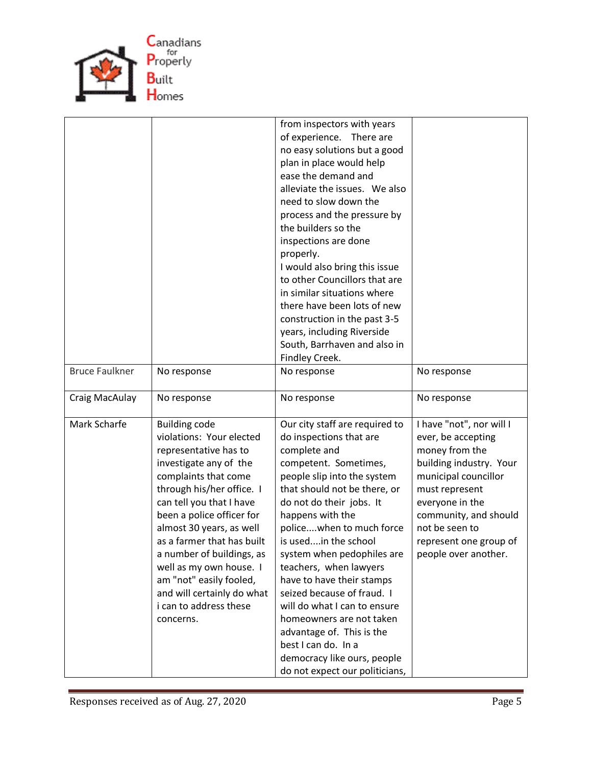

|                       |                                                                                                                                                                                                                                                                                                                                                                                                                                     | from inspectors with years<br>of experience. There are<br>no easy solutions but a good<br>plan in place would help<br>ease the demand and<br>alleviate the issues. We also<br>need to slow down the<br>process and the pressure by<br>the builders so the<br>inspections are done<br>properly.<br>I would also bring this issue<br>to other Councillors that are<br>in similar situations where<br>there have been lots of new<br>construction in the past 3-5<br>years, including Riverside<br>South, Barrhaven and also in<br>Findley Creek.                            |                                                                                                                                                                                                                                                       |
|-----------------------|-------------------------------------------------------------------------------------------------------------------------------------------------------------------------------------------------------------------------------------------------------------------------------------------------------------------------------------------------------------------------------------------------------------------------------------|---------------------------------------------------------------------------------------------------------------------------------------------------------------------------------------------------------------------------------------------------------------------------------------------------------------------------------------------------------------------------------------------------------------------------------------------------------------------------------------------------------------------------------------------------------------------------|-------------------------------------------------------------------------------------------------------------------------------------------------------------------------------------------------------------------------------------------------------|
| <b>Bruce Faulkner</b> | No response                                                                                                                                                                                                                                                                                                                                                                                                                         | No response                                                                                                                                                                                                                                                                                                                                                                                                                                                                                                                                                               | No response                                                                                                                                                                                                                                           |
| Craig MacAulay        | No response                                                                                                                                                                                                                                                                                                                                                                                                                         | No response                                                                                                                                                                                                                                                                                                                                                                                                                                                                                                                                                               | No response                                                                                                                                                                                                                                           |
| Mark Scharfe          | <b>Building code</b><br>violations: Your elected<br>representative has to<br>investigate any of the<br>complaints that come<br>through his/her office. I<br>can tell you that I have<br>been a police officer for<br>almost 30 years, as well<br>as a farmer that has built<br>a number of buildings, as<br>well as my own house. I<br>am "not" easily fooled,<br>and will certainly do what<br>i can to address these<br>concerns. | Our city staff are required to<br>do inspections that are<br>complete and<br>competent. Sometimes,<br>people slip into the system<br>that should not be there, or<br>do not do their jobs. It<br>happens with the<br>policewhen to much force<br>is usedin the school<br>system when pedophiles are<br>teachers, when lawyers<br>have to have their stamps<br>seized because of fraud. I<br>will do what I can to ensure<br>homeowners are not taken<br>advantage of. This is the<br>best I can do. In a<br>democracy like ours, people<br>do not expect our politicians, | I have "not", nor will I<br>ever, be accepting<br>money from the<br>building industry. Your<br>municipal councillor<br>must represent<br>everyone in the<br>community, and should<br>not be seen to<br>represent one group of<br>people over another. |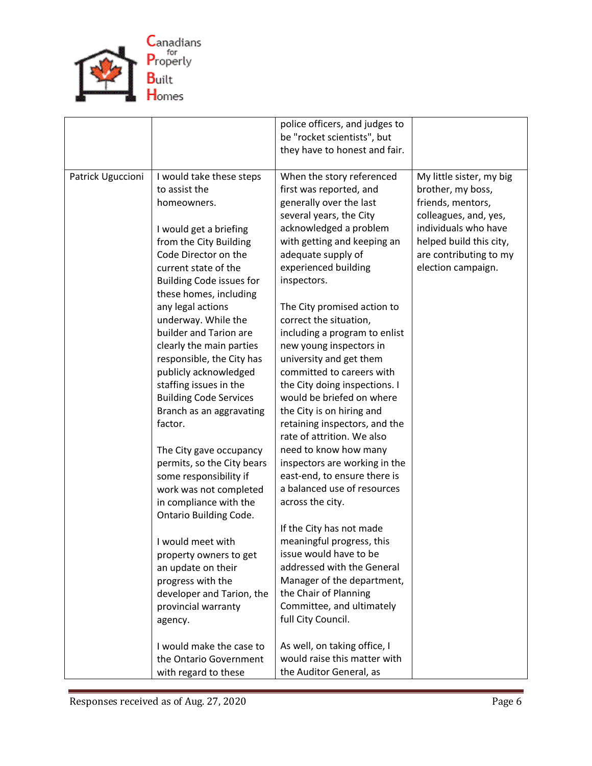

|                   |                                                                                                                                                                                                                                                                                                 | police officers, and judges to<br>be "rocket scientists", but<br>they have to honest and fair.                                                                                                                                                                                                                             |                                                                                                                                                                                                |
|-------------------|-------------------------------------------------------------------------------------------------------------------------------------------------------------------------------------------------------------------------------------------------------------------------------------------------|----------------------------------------------------------------------------------------------------------------------------------------------------------------------------------------------------------------------------------------------------------------------------------------------------------------------------|------------------------------------------------------------------------------------------------------------------------------------------------------------------------------------------------|
| Patrick Uguccioni | I would take these steps<br>to assist the<br>homeowners.<br>I would get a briefing<br>from the City Building<br>Code Director on the<br>current state of the<br><b>Building Code issues for</b><br>these homes, including<br>any legal actions<br>underway. While the<br>builder and Tarion are | When the story referenced<br>first was reported, and<br>generally over the last<br>several years, the City<br>acknowledged a problem<br>with getting and keeping an<br>adequate supply of<br>experienced building<br>inspectors.<br>The City promised action to<br>correct the situation,<br>including a program to enlist | My little sister, my big<br>brother, my boss,<br>friends, mentors,<br>colleagues, and, yes,<br>individuals who have<br>helped build this city,<br>are contributing to my<br>election campaign. |
|                   | clearly the main parties<br>responsible, the City has<br>publicly acknowledged<br>staffing issues in the<br><b>Building Code Services</b><br>Branch as an aggravating<br>factor.                                                                                                                | new young inspectors in<br>university and get them<br>committed to careers with<br>the City doing inspections. I<br>would be briefed on where<br>the City is on hiring and<br>retaining inspectors, and the<br>rate of attrition. We also                                                                                  |                                                                                                                                                                                                |
|                   | The City gave occupancy<br>permits, so the City bears<br>some responsibility if<br>work was not completed<br>in compliance with the<br><b>Ontario Building Code.</b>                                                                                                                            | need to know how many<br>inspectors are working in the<br>east-end, to ensure there is<br>a balanced use of resources<br>across the city.                                                                                                                                                                                  |                                                                                                                                                                                                |
|                   | I would meet with<br>property owners to get<br>an update on their<br>progress with the<br>developer and Tarion, the<br>provincial warranty<br>agency.                                                                                                                                           | If the City has not made<br>meaningful progress, this<br>issue would have to be<br>addressed with the General<br>Manager of the department,<br>the Chair of Planning<br>Committee, and ultimately<br>full City Council.                                                                                                    |                                                                                                                                                                                                |
|                   | I would make the case to<br>the Ontario Government<br>with regard to these                                                                                                                                                                                                                      | As well, on taking office, I<br>would raise this matter with<br>the Auditor General, as                                                                                                                                                                                                                                    |                                                                                                                                                                                                |